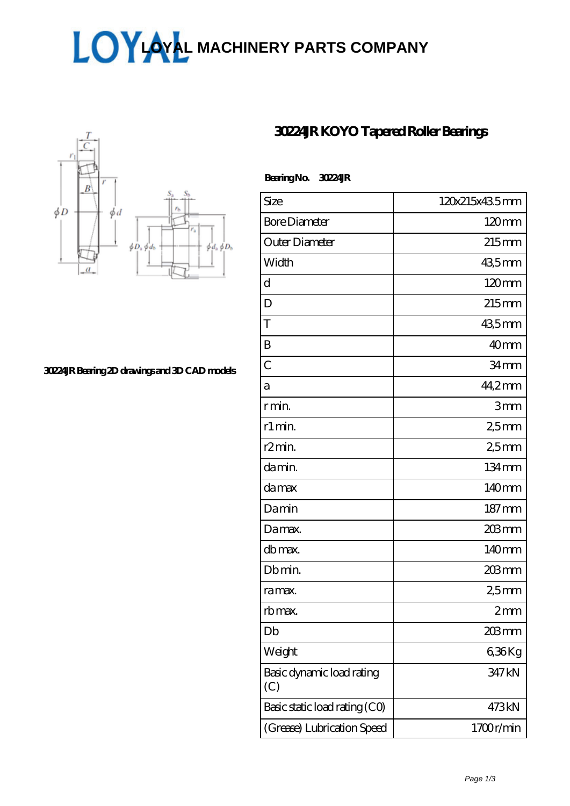## [LOYAL MACHINERY PARTS COMPANY](https://www.lotsacheeks.com)



**[30224JR Bearing 2D drawings and 3D CAD models](https://www.lotsacheeks.com/pic-65122657.html)**

## **[30224JR KOYO Tapered Roller Bearings](https://www.lotsacheeks.com/sell-65122657-30224jr-koyo-tapered-roller-bearings.html)**

 **Bearing No. 30224JR**

| Size                             | 120x215x435mm       |
|----------------------------------|---------------------|
| <b>Bore Diameter</b>             | $120 \text{mm}$     |
| Outer Diameter                   | $215$ mm            |
| Width                            | 435mm               |
| d                                | 120mm               |
| D                                | 215mm               |
| T                                | 435mm               |
| B                                | 40 <sub>mm</sub>    |
| $\overline{C}$                   | 34 <sub>mm</sub>    |
| а                                | 44,2mm              |
| r min.                           | 3mm                 |
| r1 min.                          | 25mm                |
| r2min.                           | 25mm                |
| damin.                           | 134mm               |
| da max                           | 140mm               |
| Damin                            | $187 \,\mathrm{mm}$ |
| Damax.                           | $203$ mm            |
| db max.                          | 140mm               |
| Db min.                          | 203mm               |
| ra max.                          | 25 <sub>mm</sub>    |
| rb max.                          | 2mm                 |
| Db                               | 203mm               |
| Weight                           | 636Kg               |
| Basic dynamic load rating<br>(C) | 347 kN              |
| Basic static load rating (CO)    | 473kN               |
| (Grease) Lubrication Speed       | 1700r/min           |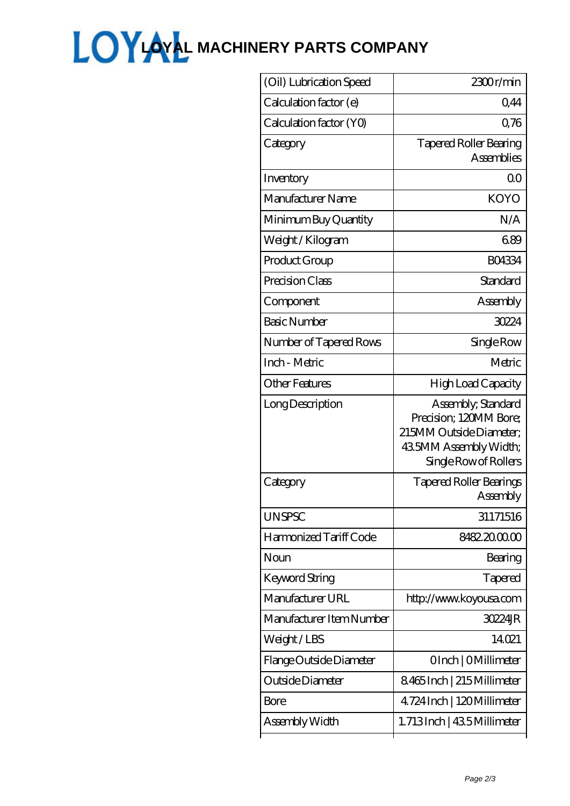## [LOYAL MACHINERY PARTS COMPANY](https://www.lotsacheeks.com)

| 0,44                                                                    |
|-------------------------------------------------------------------------|
| 0.76                                                                    |
| <b>Tapered Roller Bearing</b><br><b>Assemblies</b>                      |
| $\Omega$ <sup>O</sup>                                                   |
| <b>KOYO</b>                                                             |
| N/A                                                                     |
| 689                                                                     |
| <b>BO4334</b>                                                           |
| Standard                                                                |
| Assembly                                                                |
| 30224                                                                   |
| Single Row                                                              |
| Metric                                                                  |
| High Load Capacity                                                      |
| Assembly, Standard<br>Precision; 120MM Bore;<br>215MM Outside Diameter: |
| 43 5MM Assembly Width;<br>Single Row of Rollers                         |
| <b>Tapered Roller Bearings</b><br>Assembly                              |
| 31171516                                                                |
| 8482.2000.00                                                            |
| Bearing                                                                 |
| Tapered                                                                 |
| http://www.koyousa.com                                                  |
| 30224R                                                                  |
| 14021                                                                   |
| OInch   OMillimeter                                                     |
| 8465Inch   215 Millimeter                                               |
| 4.724 Inch   120 Millimeter                                             |
|                                                                         |